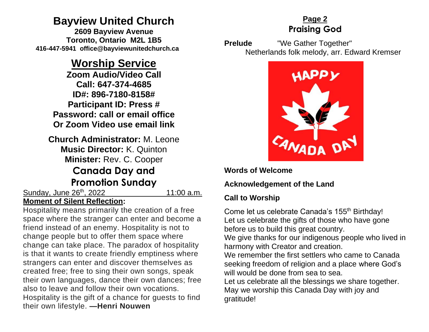# **Bayview United Church**

**2609 Bayview Avenue Toronto, Ontario M2L 1B5 416-447-5941 office@bayviewunitedchurch.ca** 

# **Worship Service**

**Zoom Audio/Video Call Call: 647-374-4685 ID#: 896-7180-8158# Participant ID: Press # Password: call or email office Or Zoom Video use email link** 

**Church Administrator:** M. Leone **Music Director:** K. Quinton **Minister:** Rev. C. Cooper

## **Canada Day and Promotion Sunday**

Sunday, June 26<sup>th</sup>, 2022

 $11:00$  a.m.

# **Moment of Silent Reflection:**

Hospitality means primarily the creation of a free space where the stranger can enter and become a friend instead of an enemy. Hospitality is not to change people but to offer them space where change can take place. The paradox of hospitality is that it wants to create friendly emptiness where strangers can enter and discover themselves as created free; free to sing their own songs, speak their own languages, dance their own dances; free also to leave and follow their own vocations. Hospitality is the gift of a chance for guests to find their own lifestyle. **—Henri Nouwen**

# **Page 2 Praising God**

**Prelude "We Gather Together"** Netherlands folk melody, arr. Edward Kremser



## **Words of Welcome**

## **Acknowledgement of the Land**

## **Call to Worship**

Come let us celebrate Canada's 155<sup>th</sup> Birthday! Let us celebrate the gifts of those who have gone before us to build this great country.

We give thanks for our indigenous people who lived in harmony with Creator and creation.

We remember the first settlers who came to Canada seeking freedom of religion and a place where God's will would be done from sea to sea.

Let us celebrate all the blessings we share together. May we worship this Canada Day with joy and gratitude!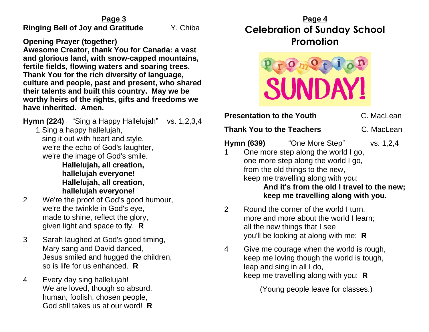**Ringing Bell of Joy and Gratitude** Y. Chiba

#### **Opening Prayer (together)**

**Awesome Creator, thank You for Canada: a vast and glorious land, with snow-capped mountains, fertile fields, flowing waters and soaring trees. Thank You for the rich diversity of language, culture and people, past and present, who shared their talents and built this country. May we be worthy heirs of the rights, gifts and freedoms we have inherited. Amen.**

**Hymn (224)** "Sing a Happy Hallelujah" vs. 1,2,3,4 1 Sing a happy hallelujah, sing it out with heart and style, we're the echo of God's laughter, we're the image of God's smile.

**Hallelujah, all creation, hallelujah everyone! Hallelujah, all creation, hallelujah everyone!**

- 2 We're the proof of God's good humour, we're the twinkle in God's eye, made to shine, reflect the glory, given light and space to fly. **R**
- 3 Sarah laughed at God's good timing, Mary sang and David danced, Jesus smiled and hugged the children, so is life for us enhanced. **R**
- 4 Every day sing hallelujah! We are loved, though so absurd, human, foolish, chosen people, God still takes us at our word! **R**

**Page 4 Celebration of Sunday School Promotion**



| <b>Presentation to the Youth</b>                                                                                                                                                                                                                       |                                                                                                                                                           |                                         | C. MacLean |
|--------------------------------------------------------------------------------------------------------------------------------------------------------------------------------------------------------------------------------------------------------|-----------------------------------------------------------------------------------------------------------------------------------------------------------|-----------------------------------------|------------|
| Thank You to the Teachers                                                                                                                                                                                                                              |                                                                                                                                                           |                                         | C. MacLean |
| vs. 1, 2, 4<br>One more step along the world I go,<br>one more step along the world I go,<br>from the old things to the new,<br>keep me travelling along with you:<br>And it's from the old I travel to the new;<br>keep me travelling along with you. |                                                                                                                                                           |                                         |            |
| $\overline{2}$                                                                                                                                                                                                                                         | Round the corner of the world I turn,<br>more and more about the world I learn;<br>all the new things that I see<br>you'll be looking at along with me: R |                                         |            |
| Λ                                                                                                                                                                                                                                                      |                                                                                                                                                           | Give me courage when the world is rough |            |

4 Give me courage when the world is rough, keep me loving though the world is tough, leap and sing in all I do, keep me travelling along with you: **R**

(Young people leave for classes.)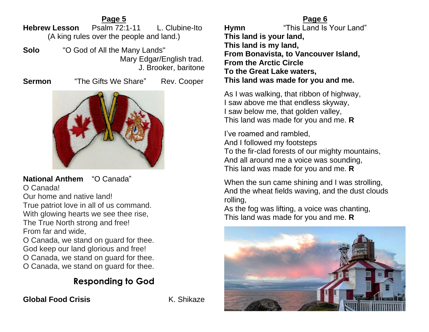**Hebrew Lesson** Psalm 72:1-11 L. Clubine-Ito (A king rules over the people and land.)

**Solo** "O God of All the Many Lands" Mary Edgar/English trad.J. Brooker, baritone

**Sermon** "The Gifts We Share"Rev. Cooper



**National Anthem** "O Canada" O Canada!

Our home and native land! True patriot love in all of us command. With glowing hearts we see thee rise, The True North strong and free! From far and wide,

O Canada, we stand on guard for thee. God keep our land glorious and free! O Canada, we stand on guard for thee. O Canada, we stand on guard for thee.

# **Responding to God**

**Global Food Crisis** K. Shikaze

#### **Page 6**

**Hymn** "This Land Is Your Land" **This land is your land, This land is my land, From Bonavista, to Vancouver Island, From the Arctic Circle To the Great Lake waters, This land was made for you and me.**

As I was walking, that ribbon of highway, I saw above me that endless skyway, I saw below me, that golden valley, This land was made for you and me. **R**

I've roamed and rambled, And I followed my footsteps To the fir-clad forests of our mighty mountains, And all around me a voice was sounding, This land was made for you and me. **R**

When the sun came shining and I was strolling, And the wheat fields waving, and the dust clouds rolling,

As the fog was lifting, a voice was chanting, This land was made for you and me. **R**

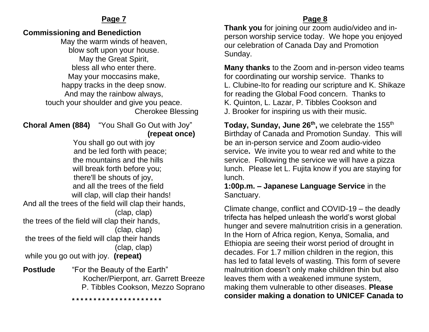#### **Commissioning and Benediction**

May the warm winds of heaven, blow soft upon your house. May the Great Spirit, bless all who enter there. May your moccasins make, happy tracks in the deep snow. And may the rainbow always, touch your shoulder and give you peace. Cherokee Blessing

**Choral Amen (884)** "You Shall Go Out with Joy"  **(repeat once)** 

You shall go out with joy and be led forth with peace; the mountains and the hills will break forth before you; there'll be shouts of joy, and all the trees of the field will clap, will clap their hands! And all the trees of the field will clap their hands, (clap, clap) the trees of the field will clap their hands, (clap, clap) the trees of the field will clap their hands (clap, clap) while you go out with joy. **(repeat)**

**Postlude** "For the Beauty of the Earth" Kocher/Pierpont, arr. Garrett Breeze P. Tibbles Cookson, Mezzo Soprano

 **\* \* \* \* \* \* \* \* \* \* \* \* \* \* \* \* \* \* \* \* \*** 

**Page 8**

**Thank you** for joining our zoom audio/video and inperson worship service today. We hope you enjoyed our celebration of Canada Day and Promotion Sunday.

**Many thanks** to the Zoom and in-person video teams for coordinating our worship service. Thanks to L. Clubine-Ito for reading our scripture and K. Shikaze for reading the Global Food concern. Thanks to K. Quinton, L. Lazar, P. Tibbles Cookson and J. Brooker for inspiring us with their music.

**Today, Sunday, June 26<sup>th</sup>, we celebrate the 155<sup>th</sup>** Birthday of Canada and Promotion Sunday. This will be an in-person service and Zoom audio-video service**.** We invite you to wear red and white to the service. Following the service we will have a pizza lunch. Please let L. Fujita know if you are staying for lunch.

**1:00p.m. – Japanese Language Service** in the Sanctuary.

Climate change, conflict and COVID-19 – the deadly trifecta has helped unleash the world's worst global hunger and severe malnutrition crisis in a generation. In the Horn of Africa region, Kenya, Somalia, and Ethiopia are seeing their worst period of drought in decades. For 1.7 million children in the region, this has led to fatal levels of wasting. This form of severe malnutrition doesn't only make children thin but also leaves them with a weakened immune system, making them vulnerable to other diseases. **Please consider making a donation to UNICEF Canada to**